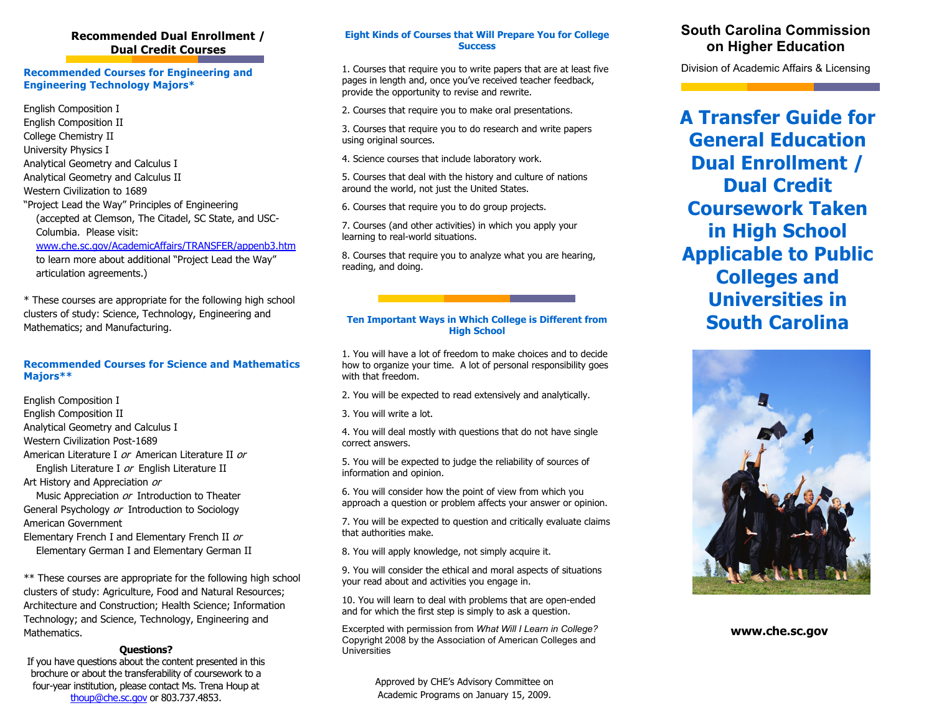# **Recommended Dual Enrollment / Dual Credit Courses**

## **Recommended Courses for Engineering and Engineering Technology Majors\***

English Composition I English Composition II College Chemistry II University Physics I Analytical Geometry and Calculus I Analytical Geometry and Calculus II Western Civilization to 1689 "Project Lead the Way" Principles of Engineering (accepted at Clemson, The Citadel, SC State, and USC- Columbia. Please visit:

[www.che.sc.gov/AcademicAffairs/TRANSFER/appenb3.htm](http://www.che.sc.gov/AcademicAffairs/TRANSFER/appenb3.htm)

 to learn more about additional "Project Lead the Way" articulation agreements.)

\* These courses are appropriate for the following high school clusters of study: Science, Technology, Engineering and Mathematics; and Manufacturing.

## **Recommended Courses for Science and Mathematics Majors\*\***

English Composition I

English Composition II

Analytical Geometry and Calculus I

Western Civilization Post-1689

American Literature I or American Literature II orEnglish Literature I or English Literature II

Art History and Appreciation or

Music Appreciation or Introduction to Theater General Psychology or Introduction to Sociology American Government

Elementary French I and Elementary French II or Elementary German I and Elementary German II

\*\* These courses are appropriate for the following high school clusters of study: Agriculture, Food and Natural Resources; Architecture and Construction; Health Science; Information Technology; and Science, Technology, Engineering and Mathematics.

## **Questions?** Universities

If you have questions about the content presented in this brochure or about the transferability of coursework to a four-year institution, please contact Ms. Trena Houp at [thoup@che.sc.gov](mailto:thoup@che.sc.gov) or 803.737.4853.

## **Eight Kinds of Courses that Will Prepare You for College Success**

1. Courses that require you to write papers that are at least five pages in length and, once you've received teacher feedback, provide the opportunity to revise and rewrite.

2. Courses that require you to make oral presentations.

3. Courses that require you to do research and write papers using original sources.

4. Science courses that include laboratory work.

5. Courses that deal with the history and culture of nations around the world, not just the United States.

6. Courses that require you to do group projects.

7. Courses (and other activities) in which you apply your learning to real-world situations.

8. Courses that require you to analyze what you are hearing, reading, and doing.

## **Ten Important Ways in Which College is Different from High School**

1. You will have a lot of freedom to make choices and to decide how to organize your time. A lot of personal responsibility goes with that freedom.

2. You will be expected to read extensively and analytically.

3. You will write a lot.

4. You will deal mostly with questions that do not have single correct answers.

5. You will be expected to judge the reliability of sources of information and opinion.

6. You will consider how the point of view from which you approach a question or problem affects your answer or opinion.

7. You will be expected to question and critically evaluate claims that authorities make.

8. You will apply knowledge, not simply acquire it.

9. You will consider the ethical and moral aspects of situations your read about and activities you engage in.

10. You will learn to deal with problems that are open-ended and for which the first step is simply to ask a question.

Excerpted with permission from *What Will I Learn in College?* Copyright 2008 by the Association of American Colleges and

> Approved by CHE's Advisory Committee on Academic Programs on January 15, 2009.

# **South Carolina Commission on Higher Education**

Division of Academic Affairs & Licensing

**A Transfer Guide for General Education Dual Enrollment / Dual Credit Coursework Taken in High School Applicable to Public Colleges and Universities in South Carolina** 



**www.che.sc.gov**